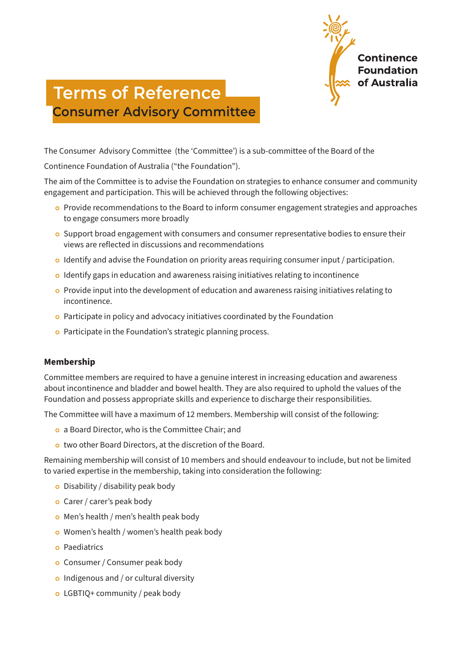

# **Terms of Reference Consumer Advisory Committee**

The Consumer Advisory Committee (the 'Committee') is a sub-committee of the Board of the

Continence Foundation of Australia ("the Foundation").

The aim of the Committee is to advise the Foundation on strategies to enhance consumer and community engagement and participation. This will be achieved through the following objectives:

- o Provide recommendations to the Board to inform consumer engagement strategies and approaches to engage consumers more broadly
- <sup>|</sup> Support broad engagement with consumers and consumer representative bodies to ensure their views are reflected in discussions and recommendations
- <sup>|</sup> Identify and advise the Foundation on priority areas requiring consumer input / participation.
- o Identify gaps in education and awareness raising initiatives relating to incontinence
- <sup>|</sup> Provide input into the development of education and awareness raising initiatives relating to incontinence.
- o Participate in policy and advocacy initiatives coordinated by the Foundation
- o Participate in the Foundation's strategic planning process.

## **Membership**

Committee members are required to have a genuine interest in increasing education and awareness about incontinence and bladder and bowel health. They are also required to uphold the values of the Foundation and possess appropriate skills and experience to discharge their responsibilities.

The Committee will have a maximum of 12 members. Membership will consist of the following:

- <sup>|</sup> a Board Director, who is the Committee Chair; and
- o two other Board Directors, at the discretion of the Board.

Remaining membership will consist of 10 members and should endeavour to include, but not be limited to varied expertise in the membership, taking into consideration the following:

- $\circ$  Disability / disability peak body
- o Carer / carer's peak body
- o Men's health / men's health peak body
- o Women's health / women's health peak body
- **o** Paediatrics
- <sup>|</sup> Consumer / Consumer peak body
- $\circ$  Indigenous and / or cultural diversity
- o LGBTIQ+ community / peak body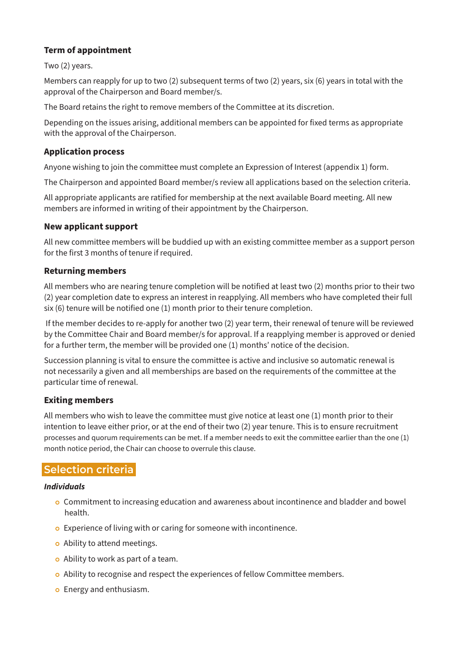## **Term of appointment**

Two (2) years.

Members can reapply for up to two (2) subsequent terms of two (2) years, six (6) years in total with the approval of the Chairperson and Board member/s.

The Board retains the right to remove members of the Committee at its discretion.

Depending on the issues arising, additional members can be appointed for fixed terms as appropriate with the approval of the Chairperson.

## **Application process**

Anyone wishing to join the committee must complete an Expression of Interest (appendix 1) form.

The Chairperson and appointed Board member/s review all applications based on the selection criteria.

All appropriate applicants are ratified for membership at the next available Board meeting. All new members are informed in writing of their appointment by the Chairperson.

## **New applicant support**

All new committee members will be buddied up with an existing committee member as a support person for the first 3 months of tenure if required.

## **Returning members**

All members who are nearing tenure completion will be notified at least two (2) months prior to their two (2) year completion date to express an interest in reapplying. All members who have completed their full six (6) tenure will be notified one (1) month prior to their tenure completion.

 If the member decides to re-apply for another two (2) year term, their renewal of tenure will be reviewed by the Committee Chair and Board member/s for approval. If a reapplying member is approved or denied for a further term, the member will be provided one (1) months' notice of the decision.

Succession planning is vital to ensure the committee is active and inclusive so automatic renewal is not necessarily a given and all memberships are based on the requirements of the committee at the particular time of renewal.

## **Exiting members**

All members who wish to leave the committee must give notice at least one (1) month prior to their intention to leave either prior, or at the end of their two (2) year tenure. This is to ensure recruitment processes and quorum requirements can be met. If a member needs to exit the committee earlier than the one (1) month notice period, the Chair can choose to overrule this clause.

# **Selection criteria**

## *Individuals*

- <sup>|</sup> Commitment to increasing education and awareness about incontinence and bladder and bowel health.
- o Experience of living with or caring for someone with incontinence.
- o Ability to attend meetings.
- $\circ$  Ability to work as part of a team.
- <sup>|</sup> Ability to recognise and respect the experiences of fellow Committee members.
- o Energy and enthusiasm.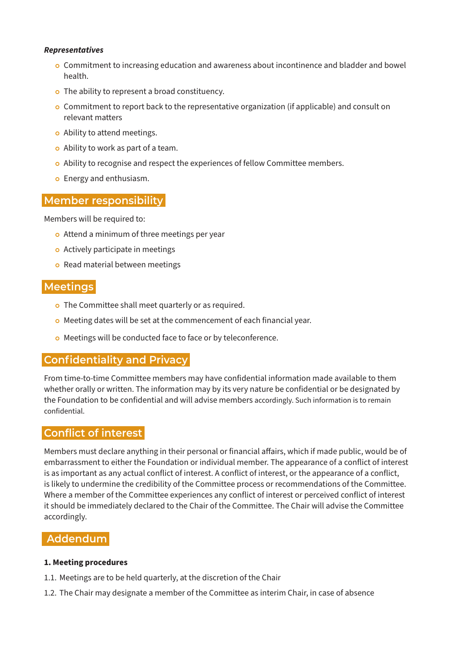#### *Representatives*

- <sup>|</sup> Commitment to increasing education and awareness about incontinence and bladder and bowel health.
- o The ability to represent a broad constituency.
- <sup>|</sup> Commitment to report back to the representative organization (if applicable) and consult on relevant matters
- o Ability to attend meetings.
- o Ability to work as part of a team.
- <sup>|</sup> Ability to recognise and respect the experiences of fellow Committee members.
- o Energy and enthusiasm.

# **Member responsibility**

Members will be required to:

- o Attend a minimum of three meetings per year
- o Actively participate in meetings
- o Read material between meetings

# **Meetings**

- o The Committee shall meet quarterly or as required.
- o Meeting dates will be set at the commencement of each financial year.
- o Meetings will be conducted face to face or by teleconference.

# **Confidentiality and Privacy**

From time-to-time Committee members may have confidential information made available to them whether orally or written. The information may by its very nature be confidential or be designated by the Foundation to be confidential and will advise members accordingly. Such information is to remain confidential.

## **Conflict of interest**

Members must declare anything in their personal or financial affairs, which if made public, would be of embarrassment to either the Foundation or individual member. The appearance of a conflict of interest is as important as any actual conflict of interest. A conflict of interest, or the appearance of a conflict, is likely to undermine the credibility of the Committee process or recommendations of the Committee. Where a member of the Committee experiences any conflict of interest or perceived conflict of interest it should be immediately declared to the Chair of the Committee. The Chair will advise the Committee accordingly.

## **Addendum**

#### **1. Meeting procedures**

- 1.1. Meetings are to be held quarterly, at the discretion of the Chair
- 1.2. The Chair may designate a member of the Committee as interim Chair, in case of absence